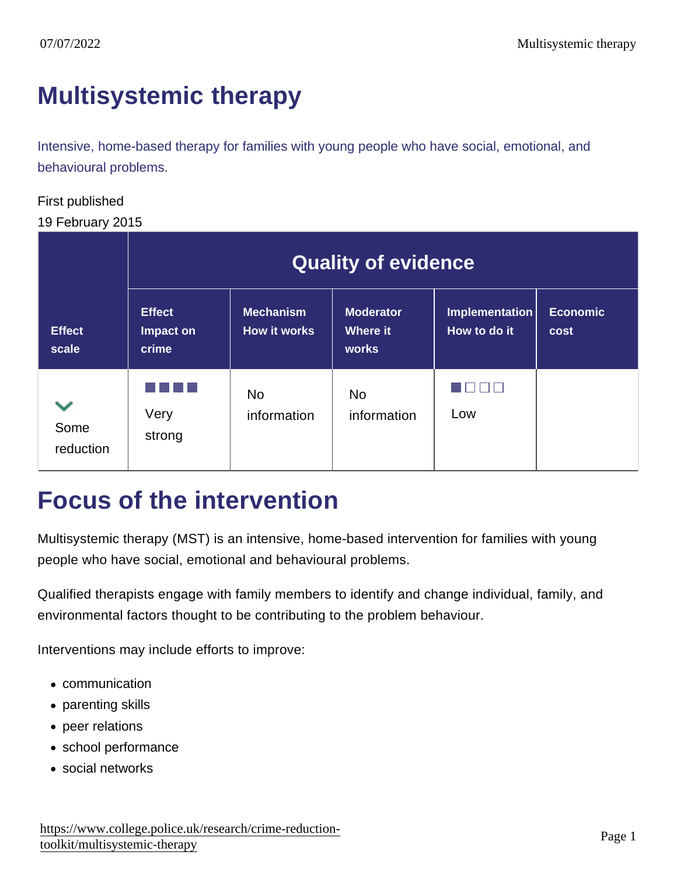# [Multisystemic therapy](https://www.college.police.uk/research/crime-reduction-toolkit/multisystemic-therapy)

Intensive, home-based therapy for families with young people who have social, emotional, and behavioural problems.

#### First published

#### 19 February 2015

|                        | <b>Quality of evidence</b>          |                           |                                |                                |                  |
|------------------------|-------------------------------------|---------------------------|--------------------------------|--------------------------------|------------------|
| <b>Effect</b><br>scale | <b>Effect</b><br>Impact on<br>crime | Mechanism<br>How it works | Moderator<br>Where it<br>works | Implementation<br>How to do it | Economic<br>cost |
| Some<br>reduction      | Very<br>strong                      | <b>No</b><br>information  | <b>No</b><br>information       | Low                            |                  |

### Focus of the intervention

Multisystemic therapy (MST) is an intensive, home-based intervention for families with young people who have social, emotional and behavioural problems.

Qualified therapists engage with family members to identify and change individual, family, and environmental factors thought to be contributing to the problem behaviour.

Interventions may include efforts to improve:

- communication
- parenting skills
- peer relations
- school performance
- social networks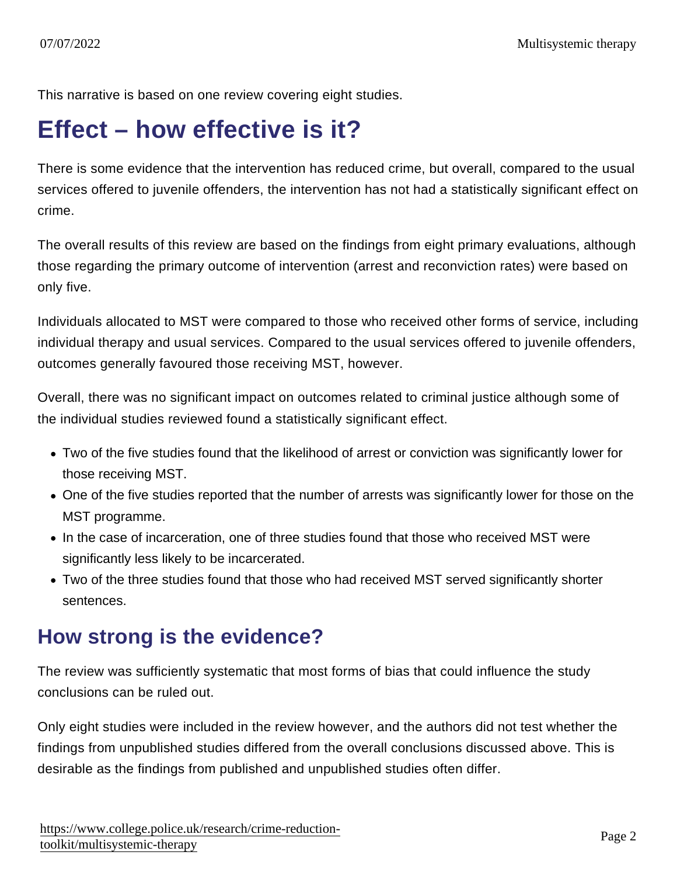This narrative is based on one review covering eight studies.

# Effect – how effective is it?

There is some evidence that the intervention has reduced crime, but overall, compared to the usual services offered to juvenile offenders, the intervention has not had a statistically significant effect on crime.

The overall results of this review are based on the findings from eight primary evaluations, although those regarding the primary outcome of intervention (arrest and reconviction rates) were based on only five.

Individuals allocated to MST were compared to those who received other forms of service, including individual therapy and usual services. Compared to the usual services offered to juvenile offenders, outcomes generally favoured those receiving MST, however.

Overall, there was no significant impact on outcomes related to criminal justice although some of the individual studies reviewed found a statistically significant effect.

- Two of the five studies found that the likelihood of arrest or conviction was significantly lower for those receiving MST.
- One of the five studies reported that the number of arrests was significantly lower for those on the MST programme.
- In the case of incarceration, one of three studies found that those who received MST were significantly less likely to be incarcerated.
- Two of the three studies found that those who had received MST served significantly shorter sentences.

#### How strong is the evidence?

The review was sufficiently systematic that most forms of bias that could influence the study conclusions can be ruled out.

Only eight studies were included in the review however, and the authors did not test whether the findings from unpublished studies differed from the overall conclusions discussed above. This is desirable as the findings from published and unpublished studies often differ.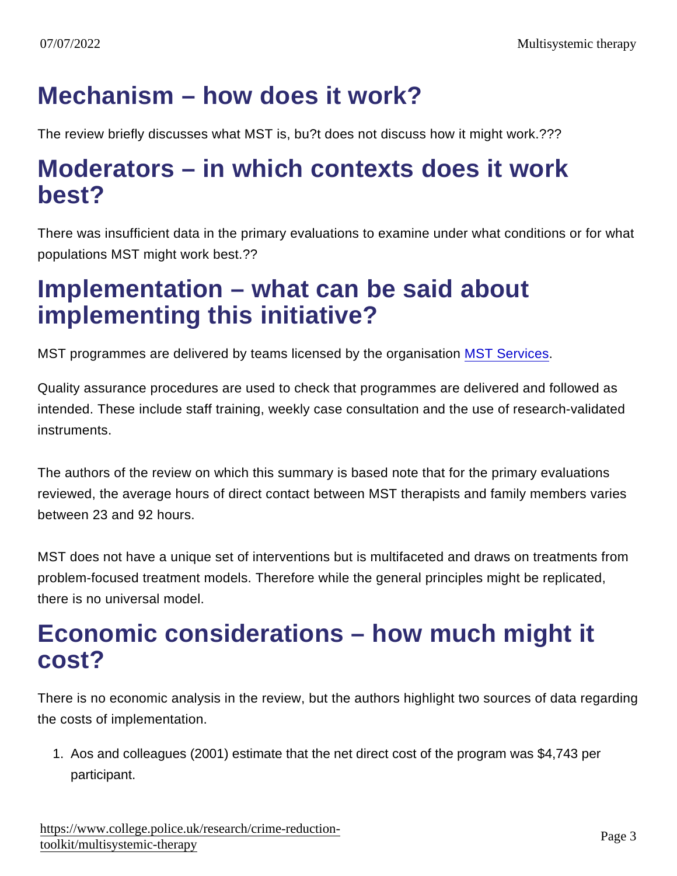# Mechanism – how does it work?

The review briefly discusses what MST is, bu?t does not discuss how it might work.???

### Moderators – in which contexts does it work best?

There was insufficient data in the primary evaluations to examine under what conditions or for what populations MST might work best.??

### Implementation – what can be said about implementing this initiative?

MST programmes are delivered by teams licensed by the organisation [MST Services.](https://www.mstservices.com/)

Quality assurance procedures are used to check that programmes are delivered and followed as intended. These include staff training, weekly case consultation and the use of research-validated instruments.

The authors of the review on which this summary is based note that for the primary evaluations reviewed, the average hours of direct contact between MST therapists and family members varies between 23 and 92 hours.

MST does not have a unique set of interventions but is multifaceted and draws on treatments from problem-focused treatment models. Therefore while the general principles might be replicated, there is no universal model.

### Economic considerations – how much might it cost?

There is no economic analysis in the review, but the authors highlight two sources of data regarding the costs of implementation.

1. Aos and colleagues (2001) estimate that the net direct cost of the program was \$4,743 per participant.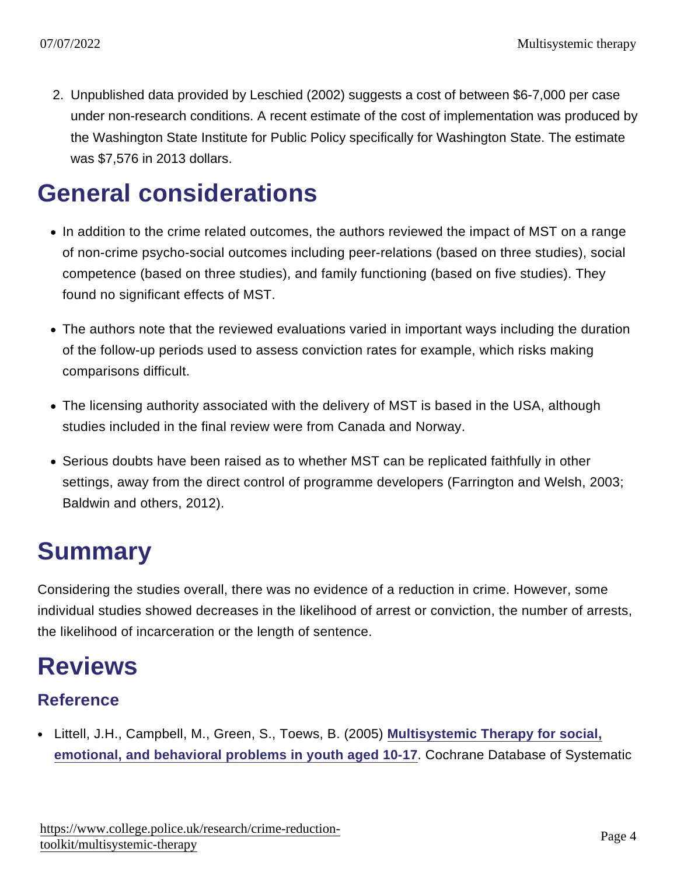2. Unpublished data provided by Leschied (2002) suggests a cost of between \$6-7,000 per case under non-research conditions. A recent estimate of the cost of implementation was produced by the Washington State Institute for Public Policy specifically for Washington State. The estimate was \$7,576 in 2013 dollars.

# General considerations

- In addition to the crime related outcomes, the authors reviewed the impact of MST on a range of non-crime psycho-social outcomes including peer-relations (based on three studies), social competence (based on three studies), and family functioning (based on five studies). They found no significant effects of MST.
- The authors note that the reviewed evaluations varied in important ways including the duration of the follow-up periods used to assess conviction rates for example, which risks making comparisons difficult.
- The licensing authority associated with the delivery of MST is based in the USA, although studies included in the final review were from Canada and Norway.
- Serious doubts have been raised as to whether MST can be replicated faithfully in other settings, away from the direct control of programme developers (Farrington and Welsh, 2003; Baldwin and others, 2012).

# **Summary**

Considering the studies overall, there was no evidence of a reduction in crime. However, some individual studies showed decreases in the likelihood of arrest or conviction, the number of arrests, the likelihood of incarceration or the length of sentence.

# Reviews

#### Reference

• Littell, J.H., Campbell, M., Green, S., Toews, B. (2005) [Multisystemic Therapy for social,](https://library.college.police.uk/HeritageScripts/Hapi.dll/relatedsearch?SearchTerm=~[!E1520]~&PlainTerm=E1520&Dispfmt=F) [emotional, and behavioral problems in youth aged 10-17](https://library.college.police.uk/HeritageScripts/Hapi.dll/relatedsearch?SearchTerm=~[!E1520]~&PlainTerm=E1520&Dispfmt=F) . Cochrane Database of Systematic